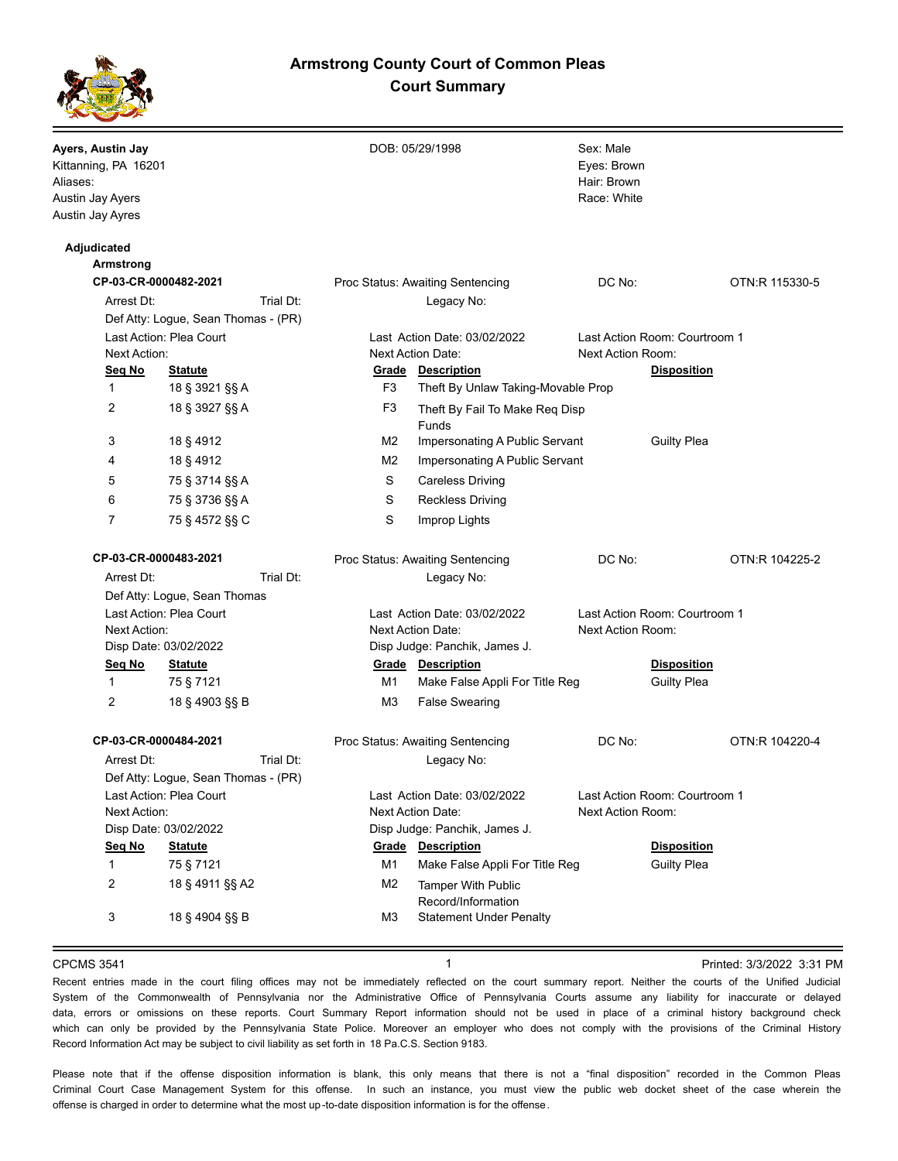# **Armstrong County Court of Common Pleas Court Summary**



| Ayers, Austin Jay<br>Kittanning, PA 16201<br>Aliases:<br>Austin Jay Ayers<br>Austin Jay Ayres |                                     |           |                                                          | DOB: 05/29/1998                                            | Sex: Male<br>Eyes: Brown<br>Hair: Brown<br>Race: White |                                          |                |
|-----------------------------------------------------------------------------------------------|-------------------------------------|-----------|----------------------------------------------------------|------------------------------------------------------------|--------------------------------------------------------|------------------------------------------|----------------|
| Adjudicated                                                                                   |                                     |           |                                                          |                                                            |                                                        |                                          |                |
| <b>Armstrong</b>                                                                              |                                     |           |                                                          |                                                            | DC No:                                                 |                                          | OTN:R 115330-5 |
| CP-03-CR-0000482-2021<br>Arrest Dt:                                                           |                                     | Trial Dt: | Proc Status: Awaiting Sentencing<br>Legacy No:           |                                                            |                                                        |                                          |                |
|                                                                                               |                                     |           |                                                          |                                                            |                                                        |                                          |                |
| Def Atty: Logue, Sean Thomas - (PR)<br>Last Action: Plea Court<br>Next Action:                |                                     |           | Last Action Date: 03/02/2022<br>Next Action Date:        |                                                            | Last Action Room: Courtroom 1<br>Next Action Room:     |                                          |                |
| Seg No<br><b>Statute</b>                                                                      |                                     |           | <b>Grade Description</b>                                 |                                                            |                                                        | <b>Disposition</b>                       |                |
| $\mathbf{1}$                                                                                  | 18 § 3921 §§ A                      |           | F3                                                       | Theft By Unlaw Taking-Movable Prop                         |                                                        |                                          |                |
| 2                                                                                             | 18 § 3927 §§ A                      |           | F <sub>3</sub>                                           | Theft By Fail To Make Req Disp                             |                                                        |                                          |                |
|                                                                                               |                                     |           |                                                          | Funds                                                      |                                                        |                                          |                |
| 3                                                                                             | 18 § 4912                           |           | M <sub>2</sub>                                           | Impersonating A Public Servant                             |                                                        | <b>Guilty Plea</b>                       |                |
| 4                                                                                             | 18 § 4912                           |           | M <sub>2</sub>                                           | Impersonating A Public Servant                             |                                                        |                                          |                |
| 5                                                                                             | 75 § 3714 §§ A                      |           | S                                                        | <b>Careless Driving</b>                                    |                                                        |                                          |                |
| 6                                                                                             | 75 § 3736 §§ A                      |           | S                                                        | <b>Reckless Driving</b>                                    |                                                        |                                          |                |
| 7                                                                                             | 75 § 4572 §§ C                      |           | S                                                        | Improp Lights                                              |                                                        |                                          |                |
| CP-03-CR-0000483-2021                                                                         |                                     |           | Proc Status: Awaiting Sentencing                         |                                                            | DC No:                                                 |                                          | OTN:R 104225-2 |
| Trial Dt:<br>Arrest Dt:                                                                       |                                     |           |                                                          | Legacy No:                                                 |                                                        |                                          |                |
|                                                                                               | Def Atty: Logue, Sean Thomas        |           |                                                          |                                                            |                                                        |                                          |                |
| Last Action: Plea Court<br>Next Action:                                                       |                                     |           | Last Action Date: 03/02/2022<br><b>Next Action Date:</b> |                                                            | Last Action Room: Courtroom 1<br>Next Action Room:     |                                          |                |
| Disp Date: 03/02/2022                                                                         |                                     |           |                                                          | Disp Judge: Panchik, James J.                              |                                                        |                                          |                |
| Seq No<br>$\mathbf{1}$                                                                        | <b>Statute</b><br>75 § 7121         |           | M1                                                       | <b>Grade Description</b><br>Make False Appli For Title Reg |                                                        | <b>Disposition</b><br><b>Guilty Plea</b> |                |
| 2                                                                                             | 18 § 4903 §§ B                      |           | M3                                                       | <b>False Swearing</b>                                      |                                                        |                                          |                |
| CP-03-CR-0000484-2021                                                                         |                                     |           |                                                          | Proc Status: Awaiting Sentencing                           | DC No:                                                 |                                          | OTN:R 104220-4 |
| Arrest Dt:                                                                                    |                                     | Trial Dt: |                                                          | Legacy No:                                                 |                                                        |                                          |                |
|                                                                                               | Def Atty: Logue, Sean Thomas - (PR) |           |                                                          |                                                            |                                                        |                                          |                |
| Last Action: Plea Court                                                                       |                                     |           | Last Action Date: 03/02/2022                             |                                                            | Last Action Room: Courtroom 1                          |                                          |                |
| Next Action:                                                                                  |                                     |           | Next Action Date:                                        |                                                            | Next Action Room:                                      |                                          |                |
| Disp Date: 03/02/2022                                                                         |                                     |           | Disp Judge: Panchik, James J.                            |                                                            |                                                        |                                          |                |
| Seq No                                                                                        | <b>Statute</b>                      |           | Grade                                                    | <b>Description</b>                                         |                                                        | <b>Disposition</b>                       |                |
| $\mathbf{1}$                                                                                  | 75 § 7121                           |           | M1                                                       | Make False Appli For Title Reg                             |                                                        | <b>Guilty Plea</b>                       |                |
| 2                                                                                             | 18 § 4911 §§ A2                     |           | M <sub>2</sub>                                           | <b>Tamper With Public</b><br>Record/Information            |                                                        |                                          |                |
| 3                                                                                             | 18 § 4904 §§ B                      |           | M <sub>3</sub>                                           | <b>Statement Under Penalty</b>                             |                                                        |                                          |                |
|                                                                                               |                                     |           |                                                          |                                                            |                                                        |                                          |                |

CPCMS 3541 **1 1 1 1 1 1 1 1 Printed: 3/3/2022 3:31 <b>PM** 

Recent entries made in the court filing offices may not be immediately reflected on the court summary report. Neither the courts of the Unified Judicial System of the Commonwealth of Pennsylvania nor the Administrative Office of Pennsylvania Courts assume any liability for inaccurate or delayed data, errors or omissions on these reports. Court Summary Report information should not be used in place of a criminal history background check which can only be provided by the Pennsylvania State Police. Moreover an employer who does not comply with the provisions of the Criminal History Record Information Act may be subject to civil liability as set forth in 18 Pa.C.S. Section 9183.

Please note that if the offense disposition information is blank, this only means that there is not a "final disposition" recorded in the Common Pleas Criminal Court Case Management System for this offense. In such an instance, you must view the public web docket sheet of the case wherein the offense is charged in order to determine what the most up -to-date disposition information is for the offense.